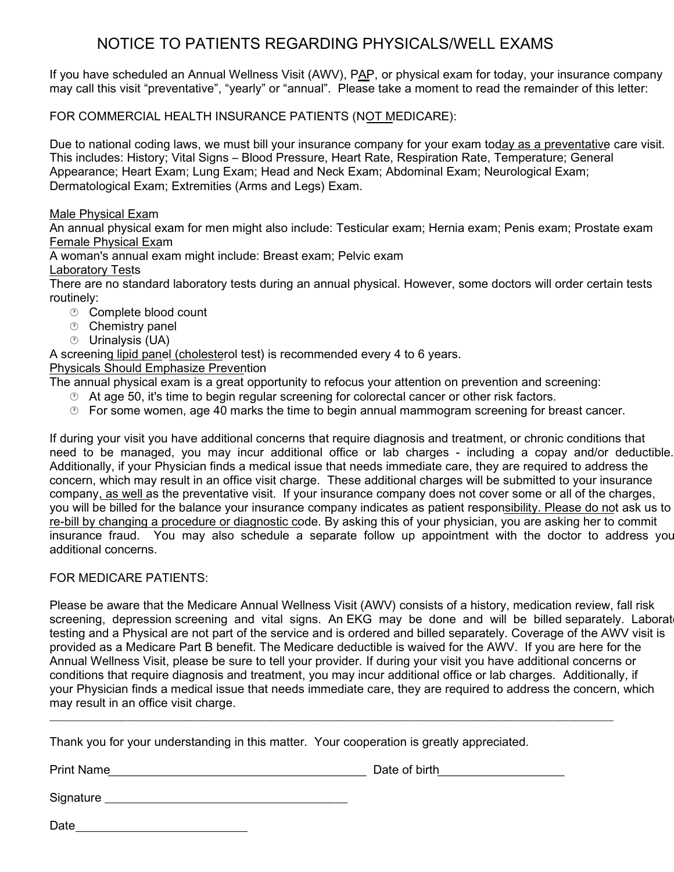## NOTICE TO PATIENTS REGARDING PHYSICALS/WELL EXAMS

If you have scheduled an Annual Wellness Visit (AWV), PAP, or physical exam for today, your insurance company may call this visit "preventative", "yearly" or "annual". Please take a moment to read the remainder of this letter:

FOR COMMERCIAL HEALTH INSURANCE PATIENTS (NOT MEDICARE):

Due to national coding laws, we must bill your insurance company for your exam today as a preventative care visit. This includes: History; Vital Signs – Blood Pressure, Heart Rate, Respiration Rate, Temperature; General Appearance; Heart Exam; Lung Exam; Head and Neck Exam; Abdominal Exam; Neurological Exam; Dermatological Exam; Extremities (Arms and Legs) Exam.

#### Male Physical Exam

An annual physical exam for men might also include: Testicular exam; Hernia exam; Penis exam; Prostate exam Female Physical Exam

A woman's annual exam might include: Breast exam; Pelvic exam

Laboratory Tests

There are no standard laboratory tests during an annual physical. However, some doctors will order certain tests routinely:

- **<sup>®</sup>** Complete blood count
- **<sup>®</sup>** Chemistry panel
- Urinalysis (UA)

A screening lipid panel (cholesterol test) is recommended every 4 to 6 years.

#### Physicals Should Emphasize Prevention

The annual physical exam is a great opportunity to refocus your attention on prevention and screening:

- $\heartsuit$  At age 50, it's time to begin regular screening for colorectal cancer or other risk factors.
- For some women, age 40 marks the time to begin annual mammogram screening for breast cancer.

If during your visit you have additional concerns that require diagnosis and treatment, or chronic conditions that need to be managed, you may incur additional office or lab charges - including a copay and/or deductible. Additionally, if your Physician finds a medical issue that needs immediate care, they are required to address the concern, which may result in an office visit charge. These additional charges will be submitted to your insurance company, as well as the preventative visit. If your insurance company does not cover some or all of the charges, you will be billed for the balance your insurance company indicates as patient responsibility. Please do not ask us to re-bill by changing a procedure or diagnostic code. By asking this of your physician, you are asking her to commit insurance fraud. You may also schedule a separate follow up appointment with the doctor to address you additional concerns.

#### FOR MEDICARE PATIENTS:

Please be aware that the Medicare Annual Wellness Visit (AWV) consists of a history, medication review, fall risk screening, depression screening and vital signs. An EKG may be done and will be billed separately. Laborat testing and a Physical are not part of the service and is ordered and billed separately. Coverage of the AWV visit is provided as a Medicare Part B benefit. The Medicare deductible is waived for the AWV. If you are here for the Annual Wellness Visit, please be sure to tell your provider. If during your visit you have additional concerns or conditions that require diagnosis and treatment, you may incur additional office or lab charges. Additionally, if your Physician finds a medical issue that needs immediate care, they are required to address the concern, which may result in an office visit charge.

 $\overline{\phantom{a}}$  , and the state of the state of the state of the state of the state of the state of the state of the state of the state of the state of the state of the state of the state of the state of the state of the stat

Thank you for your understanding in this matter. Your cooperation is greatly appreciated.

Print Name **Date of birth** Date of birth

Signature \_\_\_\_\_\_\_\_\_\_\_\_\_\_\_\_\_\_\_\_\_\_\_\_\_\_\_\_\_\_\_\_\_\_\_\_\_\_\_\_

Date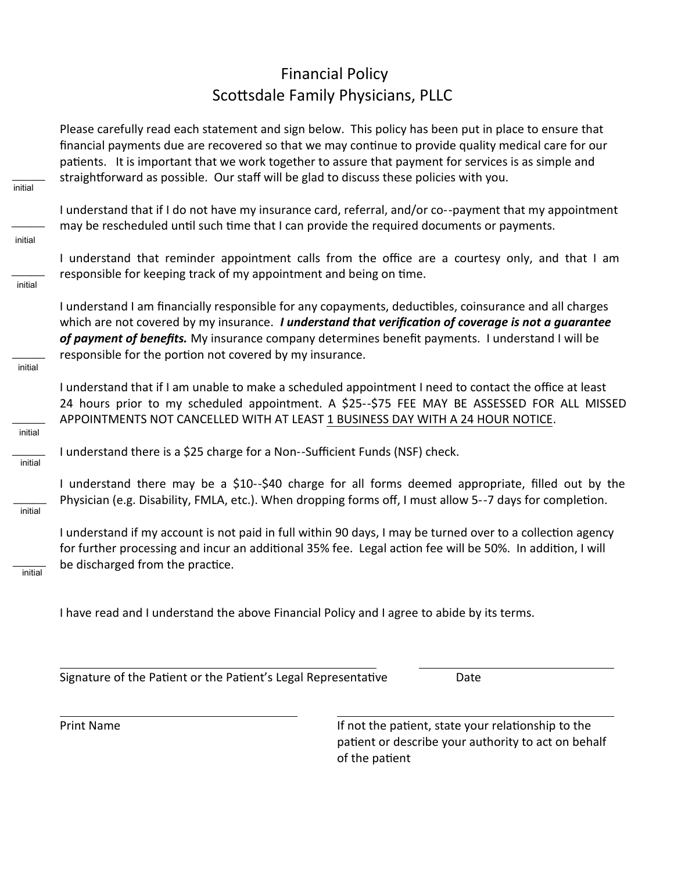# Financial Policy Scottsdale Family Physicians, PLLC

Please carefully read each statement and sign below. This policy has been put in place to ensure that financial payments due are recovered so that we may continue to provide quality medical care for our patients. It is important that we work together to assure that payment for services is as simple and straightforward as possible. Our staff will be glad to discuss these policies with you.

I understand that if I do not have my insurance card, referral, and/or co--payment that my appointment may be rescheduled until such time that I can provide the required documents or payments.

I understand that reminder appointment calls from the office are a courtesy only, and that I am responsible for keeping track of my appointment and being on time.

I understand I am financially responsible for any copayments, deductibles, coinsurance and all charges which are not covered by my insurance. *I understand that verification of coverage is not a guarantee of payment of benefits.* My insurance company determines benefit payments. I understand I will be responsible for the portion not covered by my insurance.

I understand that if I am unable to make a scheduled appointment I need to contact the office at least 24 hours prior to my scheduled appointment. A \$25--\$75 FEE MAY BE ASSESSED FOR ALL MISSED APPOINTMENTS NOT CANCELLED WITH AT LEAST 1 BUSINESS DAY WITH A 24 HOUR NOTICE.

I understand there is a \$25 charge for a Non--Sufficient Funds (NSF) check.

I understand there may be a \$10--\$40 charge for all forms deemed appropriate, filled out by the Physician (e.g. Disability, FMLA, etc.). When dropping forms off, I must allow 5--7 days for completion.

I understand if my account is not paid in full within 90 days, I may be turned over to a collection agency for further processing and incur an additional 35% fee. Legal action fee will be 50%. In addition, I will be discharged from the practice.

 $\overline{\phantom{a}}$ initial

I have read and I understand the above Financial Policy and I agree to abide by its terms.

Signature of the Patient or the Patient's Legal Representative Date

Print Name **If not the patient, state your relationship to the** patient or describe your authority to act on behalf of the patient

 $\overline{\phantom{a}}$ initial

 $\overline{\phantom{a}}$ 

initial

 $\overline{\phantom{a}}$ 

initial

 $\overline{\phantom{a}}$ 

initial

 $\overline{\phantom{a}}$ 

initial

 $\overline{\phantom{a}}$ 

initial

 $\overline{\phantom{a}}$ 

initial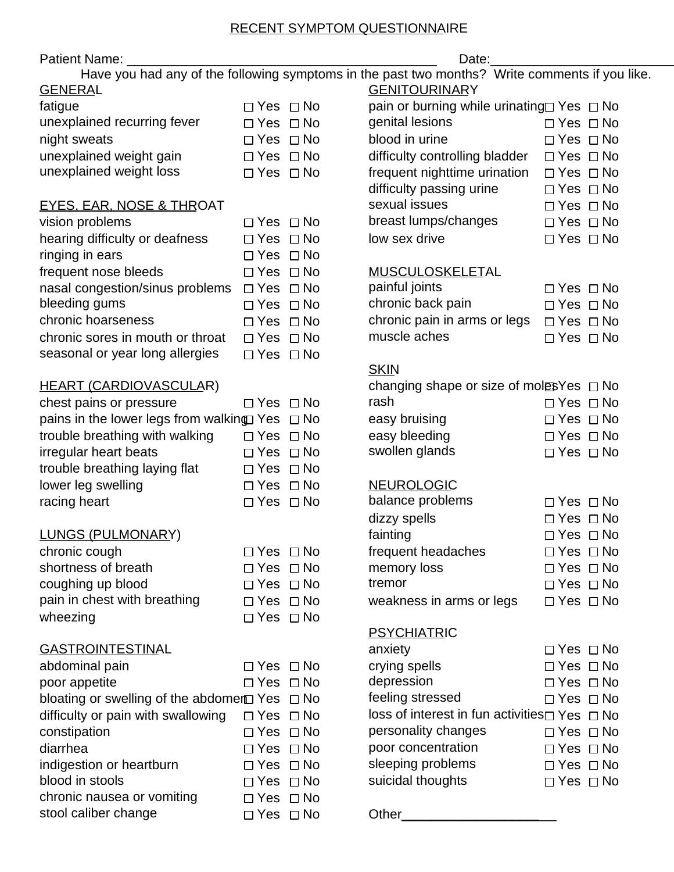### RECENT SYMPTOM QUESTIONNAIRE

| Patient Name:                                            | Date:                |  |                                                                                                |                      |  |  |  |
|----------------------------------------------------------|----------------------|--|------------------------------------------------------------------------------------------------|----------------------|--|--|--|
|                                                          |                      |  | Have you had any of the following symptoms in the past two months? Write comments if you like. |                      |  |  |  |
| <b>GENERAL</b>                                           |                      |  | <b>GENITOURINARY</b>                                                                           |                      |  |  |  |
| fatigue                                                  | $\Box$ Yes $\Box$ No |  | pain or burning while urinating□ Yes □ No                                                      |                      |  |  |  |
| unexplained recurring fever                              | $\Box$ Yes $\Box$ No |  | genital lesions                                                                                | $\Box$ Yes $\Box$ No |  |  |  |
| night sweats                                             | $\Box$ Yes $\Box$ No |  | blood in urine                                                                                 | $\Box$ Yes $\Box$ No |  |  |  |
| unexplained weight gain                                  | $\Box$ Yes $\Box$ No |  | difficulty controlling bladder                                                                 | $\Box$ Yes $\Box$ No |  |  |  |
| unexplained weight loss                                  | $\Box$ Yes $\Box$ No |  | frequent nighttime urination                                                                   | $\Box$ Yes $\Box$ No |  |  |  |
|                                                          |                      |  | difficulty passing urine                                                                       | $\Box$ Yes $\Box$ No |  |  |  |
| <b>EYES, EAR, NOSE &amp; THROAT</b>                      |                      |  | sexual issues                                                                                  | $\Box$ Yes $\Box$ No |  |  |  |
| vision problems                                          | $\Box$ Yes $\Box$ No |  | breast lumps/changes                                                                           | $\Box$ Yes $\Box$ No |  |  |  |
| hearing difficulty or deafness                           | $\Box$ Yes $\Box$ No |  | low sex drive                                                                                  | $\Box$ Yes $\Box$ No |  |  |  |
| ringing in ears                                          | $\Box$ Yes $\Box$ No |  |                                                                                                |                      |  |  |  |
| frequent nose bleeds                                     | $\Box$ Yes $\Box$ No |  | MUSCULOSKELETAL                                                                                |                      |  |  |  |
| nasal congestion/sinus problems                          | $\Box$ Yes $\Box$ No |  | painful joints                                                                                 | $\Box$ Yes $\Box$ No |  |  |  |
| bleeding gums                                            | $\Box$ Yes $\Box$ No |  | chronic back pain                                                                              | $\Box$ Yes $\Box$ No |  |  |  |
| chronic hoarseness                                       | $\Box$ Yes $\Box$ No |  | chronic pain in arms or legs                                                                   | $\Box$ Yes $\Box$ No |  |  |  |
| chronic sores in mouth or throat                         | $\Box$ Yes $\Box$ No |  | muscle aches                                                                                   | $\Box$ Yes $\Box$ No |  |  |  |
| seasonal or year long allergies                          | $\Box$ Yes $\Box$ No |  |                                                                                                |                      |  |  |  |
|                                                          |                      |  | <b>SKIN</b>                                                                                    |                      |  |  |  |
| <b>HEART (CARDIOVASCULAR)</b>                            |                      |  | changing shape or size of moles Yes $\Box$ No                                                  |                      |  |  |  |
| chest pains or pressure                                  | $\Box$ Yes $\Box$ No |  | rash                                                                                           | $\Box$ Yes $\Box$ No |  |  |  |
| pains in the lower legs from walking $Yes \Box No$       |                      |  | easy bruising                                                                                  | $\Box$ Yes $\Box$ No |  |  |  |
| trouble breathing with walking                           | $\Box$ Yes $\Box$ No |  | easy bleeding                                                                                  | $\Box$ Yes $\Box$ No |  |  |  |
| irregular heart beats                                    | $\Box$ Yes $\Box$ No |  | swollen glands                                                                                 | $\Box$ Yes $\Box$ No |  |  |  |
| trouble breathing laying flat                            | $\Box$ Yes $\Box$ No |  |                                                                                                |                      |  |  |  |
| lower leg swelling                                       | $\Box$ Yes $\Box$ No |  | <b>NEUROLOGIC</b>                                                                              |                      |  |  |  |
| racing heart                                             | $\Box$ Yes $\Box$ No |  | balance problems                                                                               | $\Box$ Yes $\Box$ No |  |  |  |
|                                                          |                      |  | dizzy spells                                                                                   | $\Box$ Yes $\Box$ No |  |  |  |
| <b>LUNGS (PULMONARY)</b>                                 |                      |  | fainting                                                                                       | $\Box$ Yes $\Box$ No |  |  |  |
| chronic cough                                            | $\Box$ Yes $\Box$ No |  | frequent headaches                                                                             | $\Box$ Yes $\Box$ No |  |  |  |
| shortness of breath                                      | $\Box$ Yes $\Box$ No |  | memory loss                                                                                    | $\Box$ Yes $\Box$ No |  |  |  |
| coughing up blood                                        | $\Box$ Yes $\Box$ No |  | tremor                                                                                         | $\Box$ Yes $\Box$ No |  |  |  |
| pain in chest with breathing                             | $\Box$ Yes $\Box$ No |  | weakness in arms or legs                                                                       | $\Box$ Yes $\Box$ No |  |  |  |
| wheezing                                                 | $\Box$ Yes $\Box$ No |  |                                                                                                |                      |  |  |  |
|                                                          |                      |  | <b>PSYCHIATRIC</b>                                                                             |                      |  |  |  |
| <b>GASTROINTESTINAL</b>                                  |                      |  | anxiety                                                                                        | $\Box$ Yes $\Box$ No |  |  |  |
| abdominal pain                                           | $\Box$ Yes $\Box$ No |  | crying spells                                                                                  | $\Box$ Yes $\Box$ No |  |  |  |
| poor appetite                                            | $\Box$ Yes $\Box$ No |  | depression                                                                                     | $\Box$ Yes $\Box$ No |  |  |  |
| bloating or swelling of the abdomer $\Box$ Yes $\Box$ No |                      |  | feeling stressed                                                                               | $\Box$ Yes $\Box$ No |  |  |  |
| difficulty or pain with swallowing                       | $\Box$ Yes $\Box$ No |  | loss of interest in fun activities $\Box$ Yes $\Box$ No                                        |                      |  |  |  |
| constipation                                             | $\Box$ Yes $\Box$ No |  | personality changes                                                                            | $\Box$ Yes $\Box$ No |  |  |  |
| diarrhea                                                 | $\Box$ Yes $\Box$ No |  | poor concentration                                                                             | $\Box$ Yes $\Box$ No |  |  |  |
| indigestion or heartburn                                 | $\Box$ Yes $\Box$ No |  | sleeping problems                                                                              | $\Box$ Yes $\Box$ No |  |  |  |
| blood in stools                                          | $\Box$ Yes $\Box$ No |  | suicidal thoughts                                                                              | $\Box$ Yes $\Box$ No |  |  |  |
| chronic nausea or vomiting                               | $\Box$ Yes $\Box$ No |  |                                                                                                |                      |  |  |  |
| stool caliber change                                     | $\Box$ Yes $\Box$ No |  | Other_                                                                                         |                      |  |  |  |